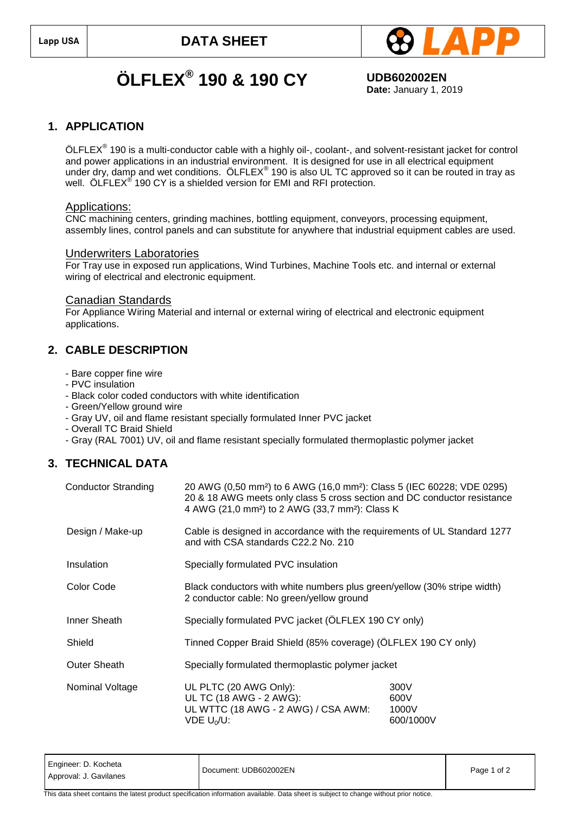

# **ÖLFLEX® 190 & 190 CY UDB602002EN**

**Date:** January 1, 2019

### **1. APPLICATION**

 $\ddot{\rm O}$ LFLEX $^{\circledast}$  190 is a multi-conductor cable with a highly oil-, coolant-, and solvent-resistant jacket for control and power applications in an industrial environment. It is designed for use in all electrical equipment under dry, damp and wet conditions.  $\ddot{\text{OLFLEX}}^\circ$  190 is also UL TC approved so it can be routed in tray as well. ÖLFLEX<sup>®</sup> 190 CY is a shielded version for EMI and RFI protection.

#### Applications:

CNC machining centers, grinding machines, bottling equipment, conveyors, processing equipment, assembly lines, control panels and can substitute for anywhere that industrial equipment cables are used.

#### Underwriters Laboratories

For Tray use in exposed run applications, Wind Turbines, Machine Tools etc. and internal or external wiring of electrical and electronic equipment.

#### Canadian Standards

For Appliance Wiring Material and internal or external wiring of electrical and electronic equipment applications.

## **2. CABLE DESCRIPTION**

- Bare copper fine wire
- PVC insulation
- Black color coded conductors with white identification
- Green/Yellow ground wire
- Gray UV, oil and flame resistant specially formulated Inner PVC jacket
- Overall TC Braid Shield
- Gray (RAL 7001) UV, oil and flame resistant specially formulated thermoplastic polymer jacket

## **3. TECHNICAL DATA**

| <b>Conductor Stranding</b> | 20 AWG (0,50 mm <sup>2</sup> ) to 6 AWG (16,0 mm <sup>2</sup> ): Class 5 (IEC 60228; VDE 0295)<br>20 & 18 AWG meets only class 5 cross section and DC conductor resistance<br>4 AWG (21,0 mm <sup>2</sup> ) to 2 AWG (33,7 mm <sup>2</sup> ): Class K |                                    |  |
|----------------------------|-------------------------------------------------------------------------------------------------------------------------------------------------------------------------------------------------------------------------------------------------------|------------------------------------|--|
| Design / Make-up           | Cable is designed in accordance with the requirements of UL Standard 1277<br>and with CSA standards C22.2 No. 210                                                                                                                                     |                                    |  |
| Insulation                 | Specially formulated PVC insulation                                                                                                                                                                                                                   |                                    |  |
| Color Code                 | Black conductors with white numbers plus green/yellow (30% stripe width)<br>2 conductor cable: No green/yellow ground                                                                                                                                 |                                    |  |
| Inner Sheath               | Specially formulated PVC jacket (ÖLFLEX 190 CY only)                                                                                                                                                                                                  |                                    |  |
| Shield                     | Tinned Copper Braid Shield (85% coverage) (ÖLFLEX 190 CY only)                                                                                                                                                                                        |                                    |  |
| <b>Outer Sheath</b>        | Specially formulated thermoplastic polymer jacket                                                                                                                                                                                                     |                                    |  |
| Nominal Voltage            | UL PLTC (20 AWG Only):<br>UL TC (18 AWG - 2 AWG):<br>UL WTTC (18 AWG - 2 AWG) / CSA AWM:<br>$VDE U0/U$ :                                                                                                                                              | 300V<br>600V<br>1000V<br>600/1000V |  |